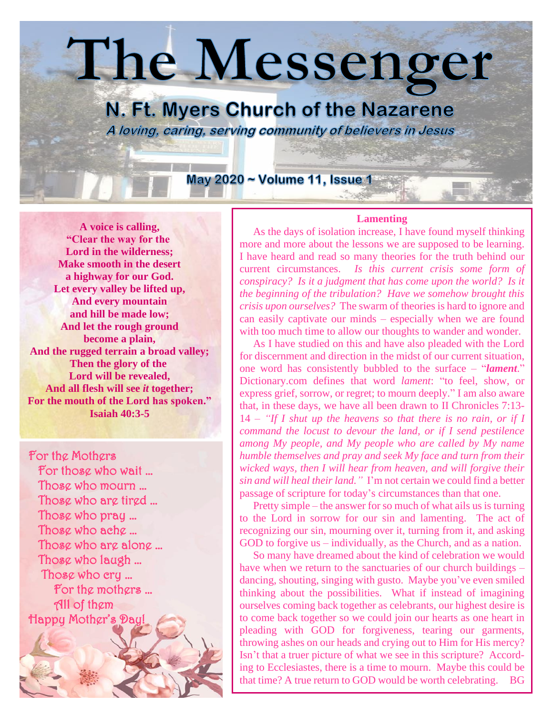# The Messenger

### N. Ft. Myers Church of the Nazarene A loving, caring, serving community of believers in Jesus

May 2020 ~ Volume 11, Issue 1

**A voice is calling, "Clear the way for the Lord in the wilderness; Make smooth in the desert a highway for our God. Let every valley be lifted up, And every mountain and hill be made low; And let the rough ground become a plain, And the rugged terrain a broad valley; Then the glory of the Lord will be revealed, And all flesh will see** *it* **together; For the mouth of the Lord has spoken." Isaiah 40:3-5**

For the Mothers For those who wait … Those who mourn … Those who are tired … Those who pray … Those who ache … Those who are alone … Those who laugh … Those who cry … For the mothers … All of them Happy Mother's Day!

#### **Lamenting**

 As the days of isolation increase, I have found myself thinking more and more about the lessons we are supposed to be learning. I have heard and read so many theories for the truth behind our current circumstances. *Is this current crisis some form of conspiracy? Is it a judgment that has come upon the world? Is it the beginning of the tribulation? Have we somehow brought this crisis upon ourselves?* The swarm of theories is hard to ignore and can easily captivate our minds – especially when we are found with too much time to allow our thoughts to wander and wonder.

 As I have studied on this and have also pleaded with the Lord for discernment and direction in the midst of our current situation, one word has consistently bubbled to the surface – "*lament*." Dictionary.com defines that word *lament*: "to feel, show, or express grief, sorrow, or regret; to mourn deeply." I am also aware that, in these days, we have all been drawn to II Chronicles 7:13- 14 – *"If I shut up the heavens so that there is no rain, or if I command the locust to devour the land, or if I send pestilence among My people, and My people who are called by My name humble themselves and pray and seek My face and turn from their wicked ways, then I will hear from heaven, and will forgive their sin and will heal their land."* I'm not certain we could find a better passage of scripture for today's circumstances than that one.

 Pretty simple – the answer for so much of what ails us is turning to the Lord in sorrow for our sin and lamenting. The act of recognizing our sin, mourning over it, turning from it, and asking GOD to forgive us – individually, as the Church, and as a nation.

 So many have dreamed about the kind of celebration we would have when we return to the sanctuaries of our church buildings – dancing, shouting, singing with gusto. Maybe you've even smiled thinking about the possibilities. What if instead of imagining ourselves coming back together as celebrants, our highest desire is to come back together so we could join our hearts as one heart in pleading with GOD for forgiveness, tearing our garments, throwing ashes on our heads and crying out to Him for His mercy? Isn't that a truer picture of what we see in this scripture? According to Ecclesiastes, there is a time to mourn. Maybe this could be that time? A true return to GOD would be worth celebrating. BG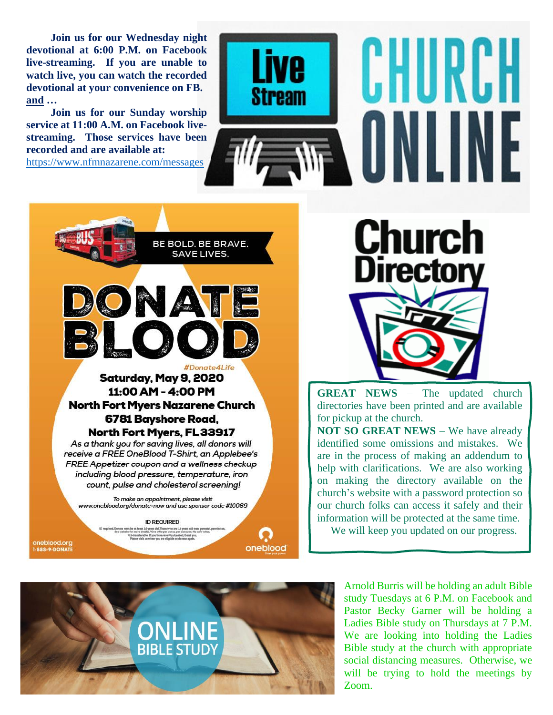**Join us for our Wednesday night devotional at 6:00 P.M. on Facebook live-streaming. If you are unable to watch live, you can watch the recorded devotional at your convenience on FB. and …**

 **Join us for our Sunday worship service at 11:00 A.M. on Facebook livestreaming. Those services have been recorded and are available at:**  <https://www.nfmnazarene.com/messages>



BE BOLD. BE BRAVE. **SAVE LIVES. NATE** Donate4Life Saturday, May 9, 2020 11:00 AM - 4:00 PM **North Fort Myers Nazarene Church** 6781 Bayshore Road, North Fort Myers, FL 33917 As a thank you for saving lives, all donors will receive a FREE OneBlood T-Shirt, an Applebee's FREE Appetizer coupon and a wellness checkup

including blood pressure, temperature, iron count, pulse and cholesterol screening!

To make an appointment, please visit www.oneblood.org/donate-now and use sponsor code #10089

oneblood.org<br>1-888-9-DONATE

**ID REQUIRED** t 16 years old. Those who are 16 yea<br>etalls. "One offer per donor, per don

oneblood

**Church Directory** 

**GREAT NEWS** – The updated church directories have been printed and are available for pickup at the church. **NOT SO GREAT NEWS** – We have already

identified some omissions and mistakes. We are in the process of making an addendum to help with clarifications. We are also working on making the directory available on the church's website with a password protection so our church folks can access it safely and their information will be protected at the same time.

We will keep you updated on our progress.



Arnold Burris will be holding an adult Bible study Tuesdays at 6 P.M. on Facebook and Pastor Becky Garner will be holding a Ladies Bible study on Thursdays at 7 P.M. We are looking into holding the Ladies Bible study at the church with appropriate social distancing measures. Otherwise, we will be trying to hold the meetings by Zoom.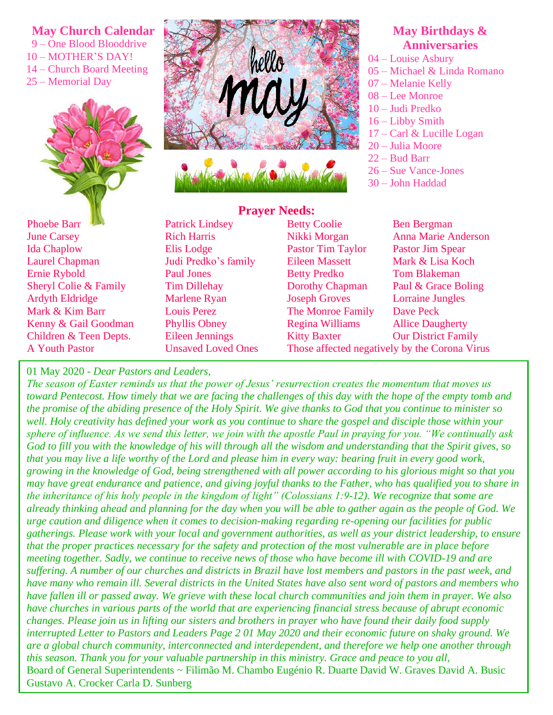#### **May Church Calendar**

- 9 One Blood Blooddrive
- 10 MOTHER'S DAY!
- 14 Church Board Meeting
- 25 Memorial Day





## **Prayer Needs:**

#### Phoebe Barr Public Patrick Lindsey Betty Coolie Ben Bergman June Carsey **Rich Harris** Nikki Morgan Anna Marie Anderson Ida Chaplow Elis Lodge Pastor Tim Taylor Pastor Jim Spear Laurel Chapman Judi Predko's family Eileen Massett Mark & Lisa Koch Ernie Rybold Paul Jones Betty Predko Tom Blakeman Sheryl Colie & Family Tim Dillehay Dorothy Chapman Paul & Grace Boling Ardyth Eldridge Marlene Ryan Joseph Groves Lorraine Jungles Mark & Kim Barr **Louis Perez** The Monroe Family Dave Peck Kenny & Gail Goodman Phyllis Obney Regina Williams Allice Daugherty Children & Teen Depts. Eileen Jennings Kitty Baxter Our District Family A Youth Pastor Unsaved Loved Ones Those affected negatively by the Corona Virus

#### **May Birthdays & Anniversaries**

- 04 Louise Asbury
- 05 Michael & Linda Romano
- 07 Melanie Kelly
- 08 Lee Monroe
- 10 Judi Predko
- 16 Libby Smith
- 17 Carl & Lucille Logan
- 20 Julia Moore
- 22 Bud Barr
- 26 Sue Vance-Jones
- 30 John Haddad

01 May 2020 - *Dear Pastors and Leaders*,

*The season of Easter reminds us that the power of Jesus' resurrection creates the momentum that moves us toward Pentecost. How timely that we are facing the challenges of this day with the hope of the empty tomb and the promise of the abiding presence of the Holy Spirit. We give thanks to God that you continue to minister so well. Holy creativity has defined your work as you continue to share the gospel and disciple those within your sphere of influence. As we send this letter, we join with the apostle Paul in praying for you. "We continually ask God to fill you with the knowledge of his will through all the wisdom and understanding that the Spirit gives, so that you may live a life worthy of the Lord and please him in every way: bearing fruit in every good work, growing in the knowledge of God, being strengthened with all power according to his glorious might so that you may have great endurance and patience, and giving joyful thanks to the Father, who has qualified you to share in the inheritance of his holy people in the kingdom of light" (Colossians 1:9-12). We recognize that some are already thinking ahead and planning for the day when you will be able to gather again as the people of God. We urge caution and diligence when it comes to decision-making regarding re-opening our facilities for public gatherings. Please work with your local and government authorities, as well as your district leadership, to ensure that the proper practices necessary for the safety and protection of the most vulnerable are in place before meeting together. Sadly, we continue to receive news of those who have become ill with COVID-19 and are suffering. A number of our churches and districts in Brazil have lost members and pastors in the past week, and have many who remain ill. Several districts in the United States have also sent word of pastors and members who have fallen ill or passed away. We grieve with these local church communities and join them in prayer. We also have churches in various parts of the world that are experiencing financial stress because of abrupt economic changes. Please join us in lifting our sisters and brothers in prayer who have found their daily food supply interrupted Letter to Pastors and Leaders Page 2 01 May 2020 and their economic future on shaky ground. We are a global church community, interconnected and interdependent, and therefore we help one another through this season. Thank you for your valuable partnership in this ministry. Grace and peace to you all,*  Board of General Superintendents ~ Filimão M. Chambo Eugénio R. Duarte David W. Graves David A. Busic Gustavo A. Crocker Carla D. Sunberg